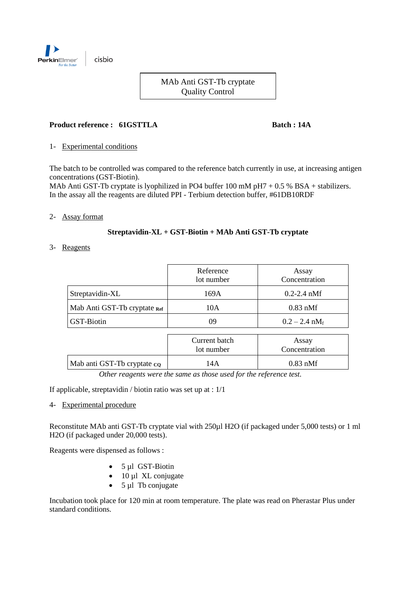

MAb Anti GST-Tb cryptate Quality Control

# **Product reference : 61GSTTLA Batch : 14A**

### 1- Experimental conditions

The batch to be controlled was compared to the reference batch currently in use, at increasing antigen concentrations (GST-Biotin).

MAb Anti GST-Tb cryptate is lyophilized in PO4 buffer 100 mM pH7 + 0.5 % BSA + stabilizers. In the assay all the reagents are diluted PPI - Terbium detection buffer, #61DB10RDF

#### 2- Assay format

## **Streptavidin-XL + GST-Biotin + MAb Anti GST-Tb cryptate**

3- Reagents

|                              | Reference<br>lot number | Assay<br>Concentration                |  |
|------------------------------|-------------------------|---------------------------------------|--|
| Streptavidin-XL              | 169A                    | $0.2 - 2.4$ nMf                       |  |
| Mab Anti GST-Tb cryptate Ref | 10A                     | $0.83$ nMf                            |  |
| <b>GST-Biotin</b>            | 09                      | $0.2 - 2.4$ nM <sub>f</sub>           |  |
|                              | Command body            | $\Lambda$ $\sim$ $\sim$ $\sim$ $\sim$ |  |

|                             | Current batch<br>lot number | Assay<br>Concentration |  |
|-----------------------------|-----------------------------|------------------------|--|
| Mab anti GST-Tb cryptate co | 14A                         | $0.83$ nMf             |  |

*Other reagents were the same as those used for the reference test.*

If applicable, streptavidin / biotin ratio was set up at : 1/1

## 4- Experimental procedure

Reconstitute MAb anti GST-Tb cryptate vial with 250µl H2O (if packaged under 5,000 tests) or 1 ml H2O (if packaged under 20,000 tests).

Reagents were dispensed as follows :

- 5 µl GST-Biotin
- $\bullet$  10 µl XL conjugate
- $5 \mu l$  Tb conjugate

Incubation took place for 120 min at room temperature. The plate was read on Pherastar Plus under standard conditions.